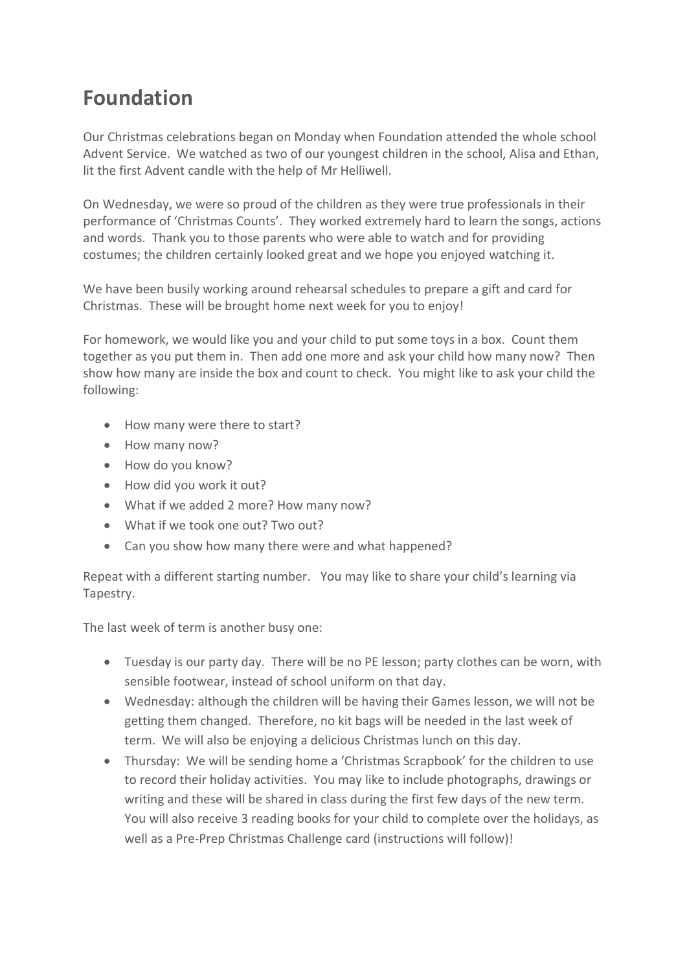## **Foundation**

Our Christmas celebrations began on Monday when Foundation attended the whole school Advent Service. We watched as two of our youngest children in the school, Alisa and Ethan, lit the first Advent candle with the help of Mr Helliwell.

On Wednesday, we were so proud of the children as they were true professionals in their performance of 'Christmas Counts'. They worked extremely hard to learn the songs, actions and words. Thank you to those parents who were able to watch and for providing costumes; the children certainly looked great and we hope you enjoyed watching it.

We have been busily working around rehearsal schedules to prepare a gift and card for Christmas. These will be brought home next week for you to enjoy!

For homework, we would like you and your child to put some toys in a box. Count them together as you put them in. Then add one more and ask your child how many now? Then show how many are inside the box and count to check. You might like to ask your child the following:

- How many were there to start?
- How many now?
- How do you know?
- How did you work it out?
- What if we added 2 more? How many now?
- What if we took one out? Two out?
- Can you show how many there were and what happened?

Repeat with a different starting number. You may like to share your child's learning via Tapestry.

The last week of term is another busy one:

- Tuesday is our party day. There will be no PE lesson; party clothes can be worn, with sensible footwear, instead of school uniform on that day.
- Wednesday: although the children will be having their Games lesson, we will not be getting them changed. Therefore, no kit bags will be needed in the last week of term. We will also be enjoying a delicious Christmas lunch on this day.
- Thursday: We will be sending home a 'Christmas Scrapbook' for the children to use to record their holiday activities. You may like to include photographs, drawings or writing and these will be shared in class during the first few days of the new term. You will also receive 3 reading books for your child to complete over the holidays, as well as a Pre-Prep Christmas Challenge card (instructions will follow)!